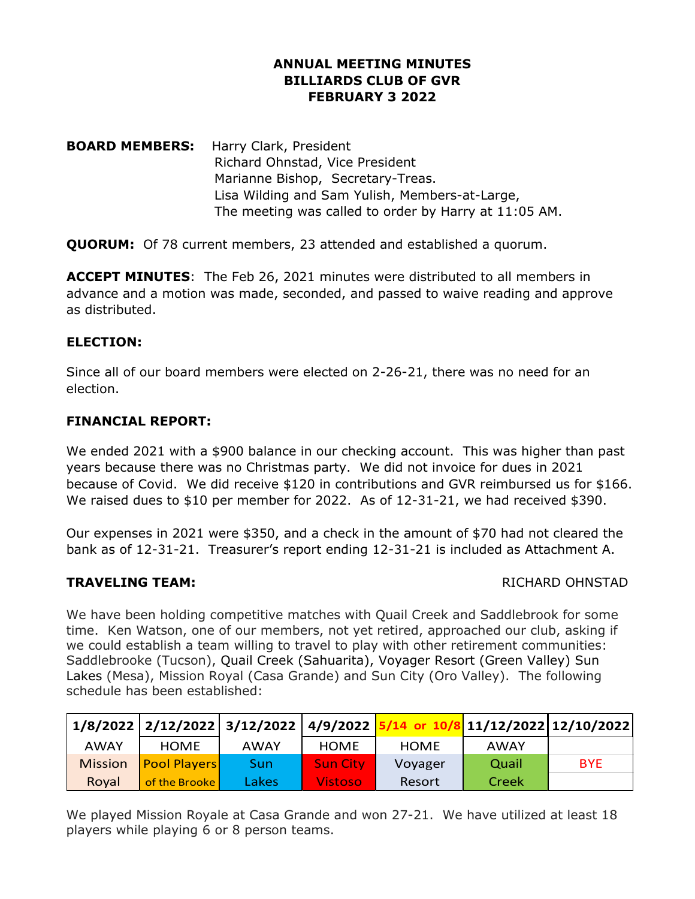### **ANNUAL MEETING MINUTES BILLIARDS CLUB OF GVR FEBRUARY 3 2022**

**BOARD MEMBERS:** Harry Clark, President Richard Ohnstad, Vice President Marianne Bishop, Secretary-Treas. Lisa Wilding and Sam Yulish, Members-at-Large, The meeting was called to order by Harry at 11:05 AM.

**QUORUM:** Of 78 current members, 23 attended and established a quorum.

**ACCEPT MINUTES**: The Feb 26, 2021 minutes were distributed to all members in advance and a motion was made, seconded, and passed to waive reading and approve as distributed.

### **ELECTION:**

Since all of our board members were elected on 2-26-21, there was no need for an election.

### **FINANCIAL REPORT:**

We ended 2021 with a \$900 balance in our checking account. This was higher than past years because there was no Christmas party. We did not invoice for dues in 2021 because of Covid. We did receive \$120 in contributions and GVR reimbursed us for \$166. We raised dues to \$10 per member for 2022. As of 12-31-21, we had received \$390.

Our expenses in 2021 were \$350, and a check in the amount of \$70 had not cleared the bank as of 12-31-21. Treasurer's report ending 12-31-21 is included as Attachment A.

### **TRAVELING TEAM:** THE RICHARD OHNSTAD

We have been holding competitive matches with Quail Creek and Saddlebrook for some time. Ken Watson, one of our members, not yet retired, approached our club, asking if we could establish a team willing to travel to play with other retirement communities: Saddlebrooke (Tucson), Quail Creek (Sahuarita), Voyager Resort (Green Valley) Sun Lakes (Mesa), Mission Royal (Casa Grande) and Sun City (Oro Valley). The following schedule has been established:

|                |                     | 1/8/2022 2/12/2022 3/12/2022 4/9/2022 |                 |             | 3 11/12/2022 12/10/2022 |            |
|----------------|---------------------|---------------------------------------|-----------------|-------------|-------------------------|------------|
| <b>AWAY</b>    | <b>HOME</b>         | <b>AWAY</b>                           | <b>HOME</b>     | <b>HOME</b> | <b>AWAY</b>             |            |
| <b>Mission</b> | <b>Pool Players</b> | Sun                                   | <b>Sun City</b> | Voyager     | Quail                   | <b>BYE</b> |
| Royal          | of the Brooke       | Lakes                                 | <b>Vistoso</b>  | Resort      | Creek                   |            |

We played Mission Royale at Casa Grande and won 27-21. We have utilized at least 18 players while playing 6 or 8 person teams.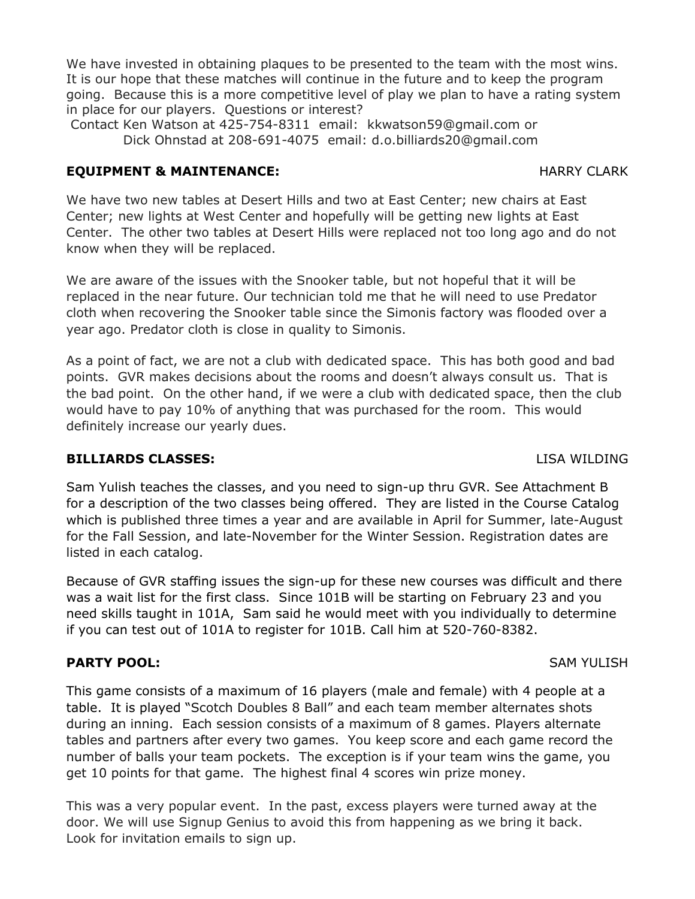We have invested in obtaining plaques to be presented to the team with the most wins. It is our hope that these matches will continue in the future and to keep the program going. Because this is a more competitive level of play we plan to have a rating system in place for our players. Questions or interest?

Contact Ken Watson at 425-754-8311 email: kkwatson59@gmail.com or Dick Ohnstad at 208-691-4075 email: d.o.billiards20@gmail.com

## **EQUIPMENT & MAINTENANCE:** And the main of the main of the main of the main of the main of the main of the main of the main of the main of the main of the main of the main of the main of the main of the main of the main of

We have two new tables at Desert Hills and two at East Center; new chairs at East Center; new lights at West Center and hopefully will be getting new lights at East Center. The other two tables at Desert Hills were replaced not too long ago and do not know when they will be replaced.

We are aware of the issues with the Snooker table, but not hopeful that it will be replaced in the near future. Our technician told me that he will need to use Predator cloth when recovering the Snooker table since the Simonis factory was flooded over a year ago. Predator cloth is close in quality to Simonis.

As a point of fact, we are not a club with dedicated space. This has both good and bad points. GVR makes decisions about the rooms and doesn't always consult us. That is the bad point. On the other hand, if we were a club with dedicated space, then the club would have to pay 10% of anything that was purchased for the room. This would definitely increase our yearly dues.

# **BILLIARDS CLASSES:** LISA WILDING

Sam Yulish teaches the classes, and you need to sign-up thru GVR. See Attachment B for a description of the two classes being offered. They are listed in the Course Catalog which is published three times a year and are available in April for Summer, late-August for the Fall Session, and late-November for the Winter Session. Registration dates are listed in each catalog.

Because of GVR staffing issues the sign-up for these new courses was difficult and there was a wait list for the first class. Since 101B will be starting on February 23 and you need skills taught in 101A, Sam said he would meet with you individually to determine if you can test out of 101A to register for 101B. Call him at 520-760-8382.

# **PARTY POOL:** SAM YULISH

This game consists of a maximum of 16 players (male and female) with 4 people at a table. It is played "Scotch Doubles 8 Ball" and each team member alternates shots during an inning. Each session consists of a maximum of 8 games. Players alternate tables and partners after every two games. You keep score and each game record the number of balls your team pockets. The exception is if your team wins the game, you get 10 points for that game. The highest final 4 scores win prize money.

This was a very popular event. In the past, excess players were turned away at the door. We will use Signup Genius to avoid this from happening as we bring it back. Look for invitation emails to sign up.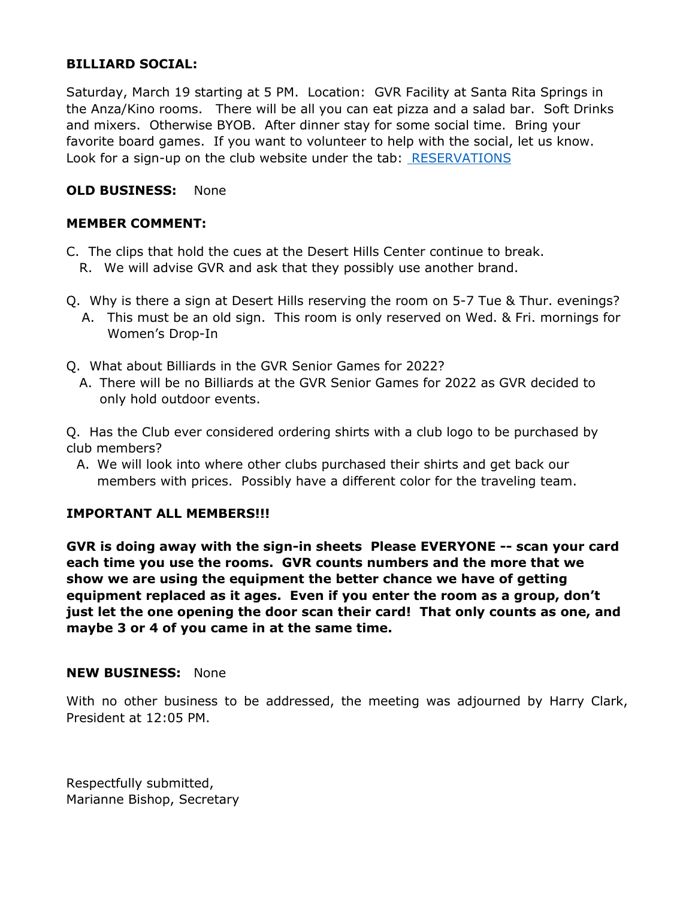### **BILLIARD SOCIAL:**

Saturday, March 19 starting at 5 PM. Location: GVR Facility at Santa Rita Springs in the Anza/Kino rooms. There will be all you can eat pizza and a salad bar. Soft Drinks and mixers. Otherwise BYOB. After dinner stay for some social time. Bring your favorite board games. If you want to volunteer to help with the social, let us know. Look for a sign-up on the club website under the tab: [RESERVATIONS](https://www.billiardsclubofgvr.com/events-for-members)

### **OLD BUSINESS:** None

### **MEMBER COMMENT:**

- C. The clips that hold the cues at the Desert Hills Center continue to break.
	- R. We will advise GVR and ask that they possibly use another brand.
- Q. Why is there a sign at Desert Hills reserving the room on 5-7 Tue & Thur. evenings?
	- A. This must be an old sign. This room is only reserved on Wed. & Fri. mornings for Women's Drop-In
- Q. What about Billiards in the GVR Senior Games for 2022?
	- A. There will be no Billiards at the GVR Senior Games for 2022 as GVR decided to only hold outdoor events.

Q. Has the Club ever considered ordering shirts with a club logo to be purchased by club members?

A. We will look into where other clubs purchased their shirts and get back our members with prices. Possibly have a different color for the traveling team.

### **IMPORTANT ALL MEMBERS!!!**

**GVR is doing away with the sign-in sheets Please EVERYONE -- scan your card each time you use the rooms. GVR counts numbers and the more that we show we are using the equipment the better chance we have of getting equipment replaced as it ages. Even if you enter the room as a group, don't just let the one opening the door scan their card! That only counts as one, and maybe 3 or 4 of you came in at the same time.**

### **NEW BUSINESS:** None

With no other business to be addressed, the meeting was adjourned by Harry Clark, President at 12:05 PM.

Respectfully submitted, Marianne Bishop, Secretary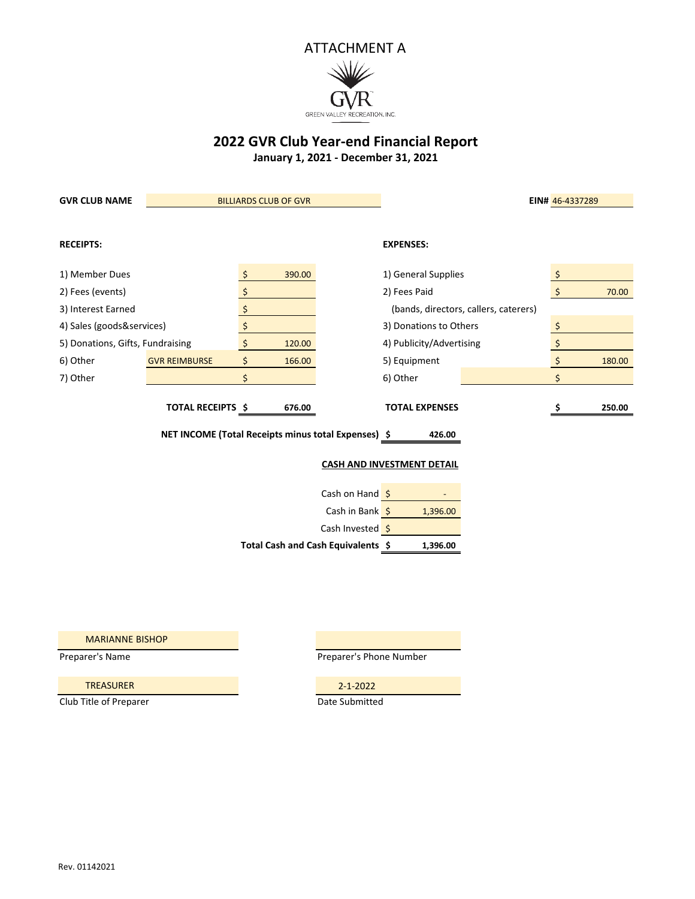

**2022 GVR Club Year-end Financial Report**

**January 1, 2021 - December 31, 2021**

| <b>GVR CLUB NAME</b>                                          | <b>BILLIARDS CLUB OF GVR</b> |    |        |                                       | EIN# 46-4337289                   |  |    |        |  |
|---------------------------------------------------------------|------------------------------|----|--------|---------------------------------------|-----------------------------------|--|----|--------|--|
|                                                               |                              |    |        |                                       |                                   |  |    |        |  |
| <b>RECEIPTS:</b>                                              |                              |    |        |                                       | <b>EXPENSES:</b>                  |  |    |        |  |
| 1) Member Dues                                                |                              |    | 390.00 |                                       | 1) General Supplies               |  |    |        |  |
| 2) Fees (events)                                              |                              | \$ |        |                                       | 2) Fees Paid                      |  | \$ | 70.00  |  |
| 3) Interest Earned                                            |                              | \$ |        | (bands, directors, callers, caterers) |                                   |  |    |        |  |
| 4) Sales (goods&services)                                     |                              | \$ |        |                                       | 3) Donations to Others            |  | \$ |        |  |
| 5) Donations, Gifts, Fundraising                              |                              | \$ | 120.00 |                                       | 4) Publicity/Advertising          |  | \$ |        |  |
| 6) Other                                                      | <b>GVR REIMBURSE</b>         | \$ | 166.00 |                                       | 5) Equipment                      |  | \$ | 180.00 |  |
| 7) Other                                                      |                              | \$ |        |                                       | 6) Other                          |  | Ś. |        |  |
|                                                               | <b>TOTAL RECEIPTS \$</b>     |    | 676.00 |                                       | <b>TOTAL EXPENSES</b>             |  |    | 250.00 |  |
| NET INCOME (Total Receipts minus total Expenses) \$<br>426.00 |                              |    |        |                                       |                                   |  |    |        |  |
|                                                               |                              |    |        |                                       | <b>CASH AND INVESTMENT DETAIL</b> |  |    |        |  |
|                                                               |                              |    |        | Cash on Hand \$                       |                                   |  |    |        |  |
|                                                               |                              |    |        | Cash in Bank \$                       | 1,396.00                          |  |    |        |  |
|                                                               |                              |    |        | Cash Invested \$                      |                                   |  |    |        |  |

MARIANNE BISHOP

Preparer's Name Preparer's Phone Number

**\$ 1,396.00**

TREASURER 2-1-2022

Club Title of Preparer **Date Submitted** 

**Total Cash and Cash Equivalents**